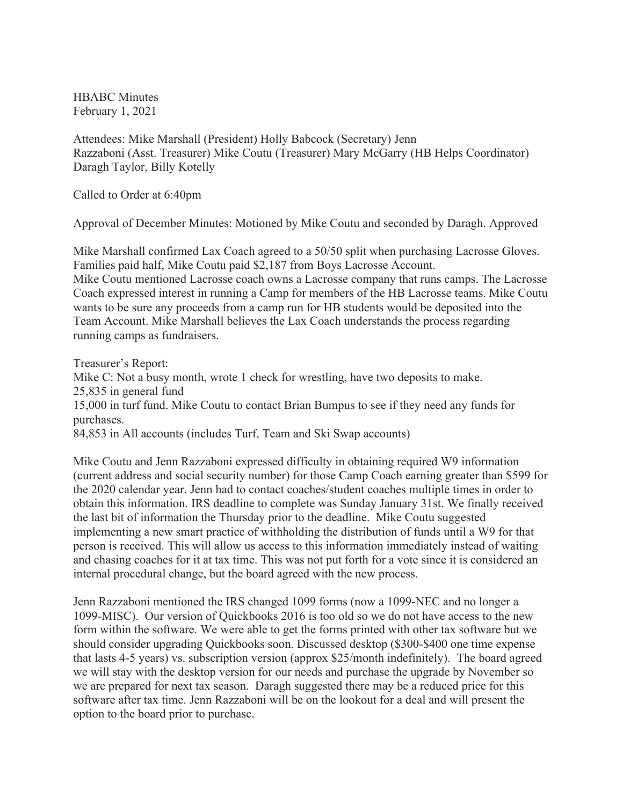HBABC Minutes February 1, 2021

Attendees: Mike Marshall (President) Holly Babcock (Secretary) Jenn Razzaboni (Asst. Treasurer) Mike Coutu (Treasurer) Mary McGarry (HB Helps Coordinator) Daragh Taylor, Billy Kotelly

Called to Order at 6:40pm

Approval of December Minutes: Motioned by Mike Coutu and seconded by Daragh. Approved

Mike Marshall confirmed Lax Coach agreed to a 50/50 split when purchasing Lacrosse Gloves. Families paid half, Mike Coutu paid \$2,187 from Boys Lacrosse Account.

Mike Coutu mentioned Lacrosse coach owns a Lacrosse company that runs camps. The Lacrosse Coach expressed interest in running a Camp for members of the HB Lacrosse teams. Mike Coutu wants to be sure any proceeds from a camp run for HB students would be deposited into the Team Account. Mike Marshall believes the Lax Coach understands the process regarding running camps as fundraisers.

Treasurer's Report:

Mike C: Not a busy month, wrote 1 check for wrestling, have two deposits to make. 25,835 in general fund

15,000 in turf fund. Mike Coutu to contact Brian Bumpus to see if they need any funds for purchases.

84,853 in All accounts (includes Turf, Team and Ski Swap accounts)

Mike Coutu and Jenn Razzaboni expressed difficulty in obtaining required W9 information (current address and social security number) for those Camp Coach earning greater than \$599 for the 2020 calendar year. Jenn had to contact coaches/student coaches multiple times in order to obtain this information. IRS deadline to complete was Sunday January 31st. We finally received the last bit of information the Thursday prior to the deadline. Mike Coutu suggested implementing a new smart practice of withholding the distribution of funds until a W9 for that person is received. This will allow us access to this information immediately instead of waiting and chasing coaches for it at tax time. This was not put forth for a vote since it is considered an internal procedural change, but the board agreed with the new process.

Jenn Razzaboni mentioned the IRS changed 1099 forms (now a 1099-NEC and no longer a 1099-MISC). Our version of Quickbooks 2016 is too old so we do not have access to the new form within the software. We were able to get the forms printed with other tax software but we should consider upgrading Quickbooks soon. Discussed desktop (\$300-\$400 one time expense that lasts 4-5 years) vs. subscription version (approx \$25/month indefinitely). The board agreed we will stay with the desktop version for our needs and purchase the upgrade by November so we are prepared for next tax season. Daragh suggested there may be a reduced price for this software after tax time. Jenn Razzaboni will be on the lookout for a deal and will present the option to the board prior to purchase.